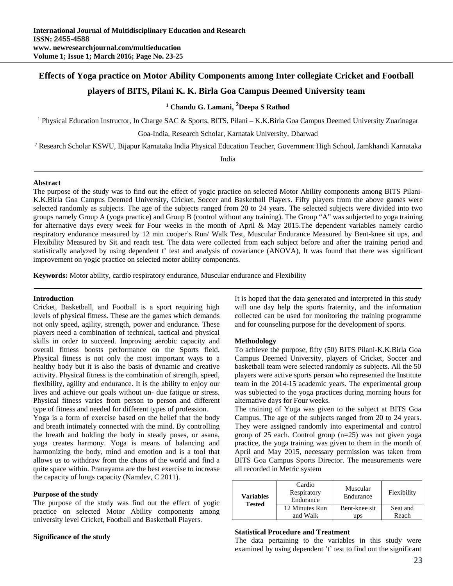# **Effects of Yoga practice on Motor Ability Components among Inter collegiate Cricket and Football**

# **players of BITS, Pilani K. K. Birla Goa Campus Deemed University team**

# **1 Chandu G. Lamani, <sup>2</sup> Deepa S Rathod**

<sup>1</sup> Physical Education Instructor, In Charge SAC & Sports, BITS, Pilani - K.K.Birla Goa Campus Deemed University Zuarinagar

Goa-India, Research Scholar, Karnatak University, Dharwad

2 Research Scholar KSWU, Bijapur Karnataka India Physical Education Teacher, Government High School, Jamkhandi Karnataka

India

### **Abstract**

The purpose of the study was to find out the effect of yogic practice on selected Motor Ability components among BITS Pilani-K.K.Birla Goa Campus Deemed University, Cricket, Soccer and Basketball Players. Fifty players from the above games were selected randomly as subjects. The age of the subjects ranged from 20 to 24 years. The selected subjects were divided into two groups namely Group A (yoga practice) and Group B (control without any training). The Group "A" was subjected to yoga training for alternative days every week for Four weeks in the month of April & May 2015.The dependent variables namely cardio respiratory endurance measured by 12 min cooper's Run/ Walk Test, Muscular Endurance Measured by Bent-knee sit ups, and Flexibility Measured by Sit and reach test. The data were collected from each subject before and after the training period and statistically analyzed by using dependent t' test and analysis of covariance (ANOVA), It was found that there was significant improvement on yogic practice on selected motor ability components.

**Keywords:** Motor ability, cardio respiratory endurance, Muscular endurance and Flexibility

### **Introduction**

Cricket, Basketball, and Football is a sport requiring high levels of physical fitness. These are the games which demands not only speed, agility, strength, power and endurance. These players need a combination of technical, tactical and physical skills in order to succeed. Improving aerobic capacity and overall fitness boosts performance on the Sports field. Physical fitness is not only the most important ways to a healthy body but it is also the basis of dynamic and creative activity. Physical fitness is the combination of strength, speed, flexibility, agility and endurance. It is the ability to enjoy our lives and achieve our goals without un- due fatigue or stress. Physical fitness varies from person to person and different type of fitness and needed for different types of profession.

Yoga is a form of exercise based on the belief that the body and breath intimately connected with the mind. By controlling the breath and holding the body in steady poses, or asana, yoga creates harmony. Yoga is means of balancing and harmonizing the body, mind and emotion and is a tool that allows us to withdraw from the chaos of the world and find a quite space within. Pranayama are the best exercise to increase the capacity of lungs capacity (Namdev, C 2011).

### **Purpose of the study**

The purpose of the study was find out the effect of yogic practice on selected Motor Ability components among university level Cricket, Football and Basketball Players.

## **Significance of the study**

It is hoped that the data generated and interpreted in this study will one day help the sports fraternity, and the information collected can be used for monitoring the training programme and for counseling purpose for the development of sports.

## **Methodology**

To achieve the purpose, fifty (50) BITS Pilani-K.K.Birla Goa Campus Deemed University, players of Cricket, Soccer and basketball team were selected randomly as subjects. All the 50 players were active sports person who represented the Institute team in the 2014-15 academic years. The experimental group was subjected to the yoga practices during morning hours for alternative days for Four weeks.

The training of Yoga was given to the subject at BITS Goa Campus. The age of the subjects ranged from 20 to 24 years. They were assigned randomly into experimental and control group of 25 each. Control group (n=25) was not given yoga practice, the yoga training was given to them in the month of April and May 2015, necessary permission was taken from BITS Goa Campus Sports Director. The measurements were all recorded in Metric system

| <b>Variables</b><br><b>Tested</b> | Cardio<br>Respiratory<br>Endurance | Muscular<br>Endurance | Flexibility |  |
|-----------------------------------|------------------------------------|-----------------------|-------------|--|
|                                   | 12 Minutes Run                     | Bent-knee sit         | Seat and    |  |
|                                   | and Walk                           | ups                   | Reach       |  |

#### **Statistical Procedure and Treatment**

The data pertaining to the variables in this study were examined by using dependent 't' test to find out the significant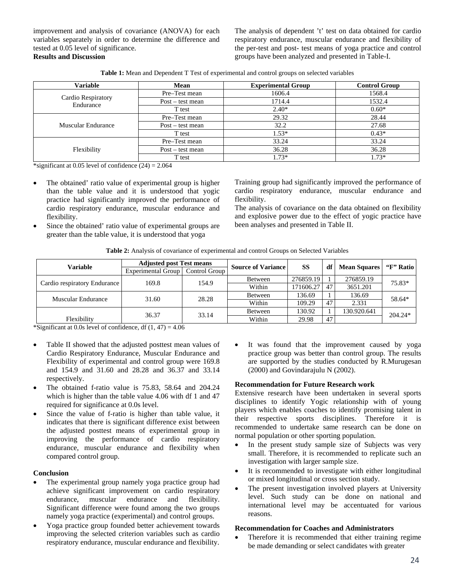improvement and analysis of covariance (ANOVA) for each variables separately in order to determine the difference and tested at 0.05 level of significance. **Results and Discussion** 

The analysis of dependent 't' test on data obtained for cardio respiratory endurance, muscular endurance and flexibility of the per-test and post- test means of yoga practice and control groups have been analyzed and presented in Table-I.

| <b>Variable</b>                 | Mean               | <b>Experimental Group</b> | <b>Control Group</b> |  |
|---------------------------------|--------------------|---------------------------|----------------------|--|
| Cardio Respiratory<br>Endurance | Pre-Test mean      | 1606.4                    | 1568.4               |  |
|                                 | $Post - test mean$ | 1714.4                    | 1532.4               |  |
|                                 | T test             | $2.40*$                   | $0.60*$              |  |
|                                 | Pre-Test mean      | 29.32                     | 28.44                |  |
| Muscular Endurance              | $Post - test mean$ | 32.2                      | 27.68                |  |
|                                 | T test             | $1.53*$                   | $0.43*$              |  |
|                                 | Pre-Test mean      | 33.24                     | 33.24                |  |
| Flexibility                     | $Post - test mean$ | 36.28                     | 36.28                |  |
|                                 | T test             | $1.73*$                   | $1.73*$              |  |

**Table 1:** Mean and Dependent T Test of experimental and control groups on selected variables

\*significant at 0.05 level of confidence  $(24) = 2.064$ 

- The obtained' ratio value of experimental group is higher than the table value and it is understood that yogic practice had significantly improved the performance of cardio respiratory endurance, muscular endurance and flexibility.
- Since the obtained' ratio value of experimental groups are greater than the table value, it is understood that yoga

Training group had significantly improved the performance of cardio respiratory endurance, muscular endurance and flexibility.

The analysis of covariance on the data obtained on flexibility and explosive power due to the effect of yogic practice have been analyses and presented in Table II.

|  |  | <b>Table 2:</b> Analysis of covariance of experimental and control Groups on Selected Variables |  |
|--|--|-------------------------------------------------------------------------------------------------|--|
|  |  |                                                                                                 |  |

| Variable                     | <b>Adjusted post Test means</b>    |       | <b>Source of Variance</b> | SS        | df | <b>Mean Squares</b> | "F" Ratio |
|------------------------------|------------------------------------|-------|---------------------------|-----------|----|---------------------|-----------|
|                              | Experimental Group   Control Group |       |                           |           |    |                     |           |
|                              | 169.8                              | 154.9 | Between                   | 276859.19 |    | 276859.19           | 75.83*    |
| Cardio respiratory Endurance |                                    |       | Within                    | 171606.27 | 47 | 3651.201            |           |
| <b>Muscular Endurance</b>    |                                    | 28.28 | Between                   | 136.69    |    | 136.69              | 58.64*    |
|                              | 31.60                              |       | Within                    | 109.29    | 47 | 2.331               |           |
|                              | 36.37                              | 33.14 | Between                   | 130.92    |    | 130.920.641         | $204.24*$ |
| Flexibility                  |                                    |       | Within                    | 29.98     | 47 |                     |           |

\*Significant at 0.0s level of confidence, df  $(1, 47) = 4.06$ 

- Table II showed that the adjusted posttest mean values of Cardio Respiratory Endurance, Muscular Endurance and Flexibility of experimental and control group were 169.8 and 154.9 and 31.60 and 28.28 and 36.37 and 33.14 respectively.
- The obtained f-ratio value is 75.83, 58.64 and 204.24 which is higher than the table value 4.06 with df 1 and 47 required for significance at 0.0s level.
- Since the value of f-ratio is higher than table value, it indicates that there is significant difference exist between the adjusted posttest means of experimental group in improving the performance of cardio respiratory endurance, muscular endurance and flexibility when compared control group.

### **Conclusion**

- The experimental group namely yoga practice group had achieve significant improvement on cardio respiratory endurance, muscular endurance and flexibility. Significant difference were found among the two groups namely yoga practice (experimental) and control groups.
- Yoga practice group founded better achievement towards improving the selected criterion variables such as cardio respiratory endurance, muscular endurance and flexibility.

• It was found that the improvement caused by yoga practice group was better than control group. The results are supported by the studies conducted by R.Murugesan (2000) and Govindarajulu N (2002).

## **Recommendation for Future Research work**

Extensive research have been undertaken in several sports disciplines to identify Yogic relationship with of young players which enables coaches to identify promising talent in their respective sports disciplines. Therefore it is recommended to undertake same research can be done on normal population or other sporting population.

- In the present study sample size of Subjects was very small. Therefore, it is recommended to replicate such an investigation with larger sample size.
- It is recommended to investigate with either longitudinal or mixed longitudinal or cross section study.
- The present investigation involved players at University level. Such study can be done on national and international level may be accentuated for various reasons.

## **Recommendation for Coaches and Administrators**

 Therefore it is recommended that either training regime be made demanding or select candidates with greater